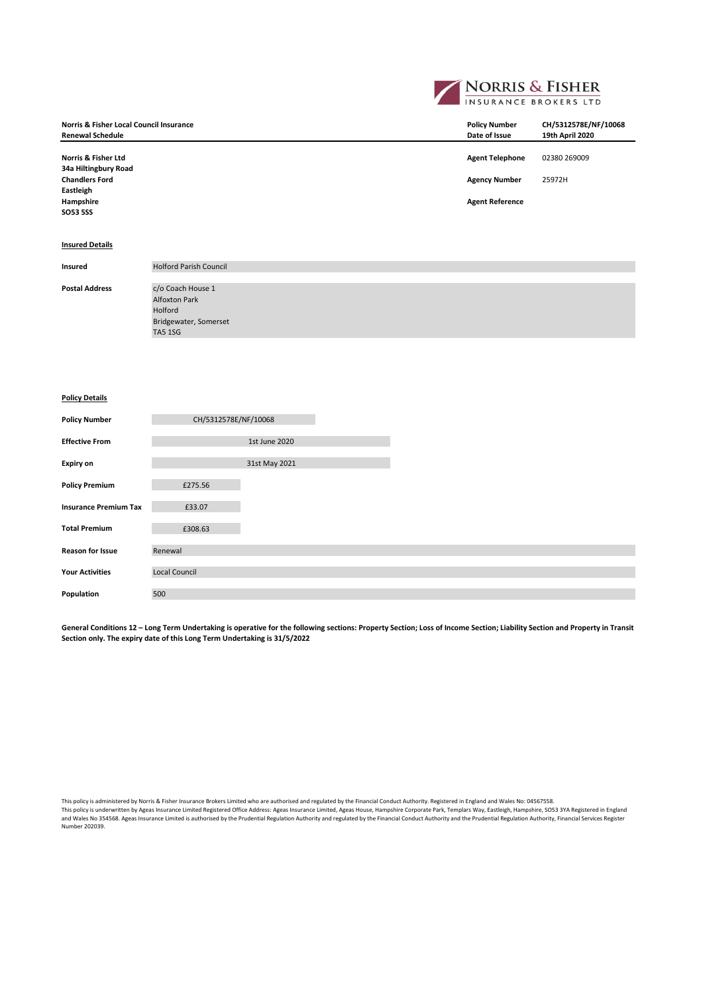|                                                                               |                                                                                                 |  | <b>NORRIS &amp; FISHER</b>            |                                         |
|-------------------------------------------------------------------------------|-------------------------------------------------------------------------------------------------|--|---------------------------------------|-----------------------------------------|
| <b>Norris &amp; Fisher Local Council Insurance</b><br><b>Renewal Schedule</b> |                                                                                                 |  | <b>Policy Number</b><br>Date of Issue | CH/5312578E/NF/10068<br>19th April 2020 |
| <b>Norris &amp; Fisher Ltd</b><br>34a Hiltingbury Road                        |                                                                                                 |  | <b>Agent Telephone</b>                | 02380 269009                            |
| <b>Chandlers Ford</b><br>Eastleigh                                            |                                                                                                 |  | <b>Agency Number</b>                  | 25972H                                  |
| Hampshire<br><b>SO53 5SS</b>                                                  |                                                                                                 |  | <b>Agent Reference</b>                |                                         |
| <b>Insured Details</b>                                                        |                                                                                                 |  |                                       |                                         |
| Insured                                                                       | <b>Holford Parish Council</b>                                                                   |  |                                       |                                         |
| <b>Postal Address</b>                                                         | c/o Coach House 1<br><b>Alfoxton Park</b><br>Holford<br>Bridgewater, Somerset<br><b>TA5 1SG</b> |  |                                       |                                         |
| <b>Policy Details</b>                                                         |                                                                                                 |  |                                       |                                         |
| <b>Policy Number</b>                                                          | CH/5312578E/NF/10068                                                                            |  |                                       |                                         |
| <b>Effective From</b>                                                         | 1st June 2020                                                                                   |  |                                       |                                         |

**General Conditions 12 – Long Term Undertaking is operative for the following sections: Property Section; Loss of Income Section; Liability Section and Property in Transit Section only. The expiry date of this Long Term Undertaking is 31/5/2022**

31st May 2021

**Expiry on**

**Policy Premium**  $£275.56$ **Insurance Premium Tax E33.07 Total Premium** £308.63

**Reason for Issue** Renewal

Population 500

**Your Activities** Local Council

This policy is administered by Norris & Fisher Insurance Brokers Limited who are authorised and regulated by the Financial Conduct Authority. Registered in England and Wales No: 04567558.<br>This policy is underwritten by Age

and Wales No 354568. Ageas Insurance Limited is authorised by the Prudential Regulation Authority and regulated by the Financial Conduct Authority and the Prudential Regulation Authority, Financial Services Register<br>Number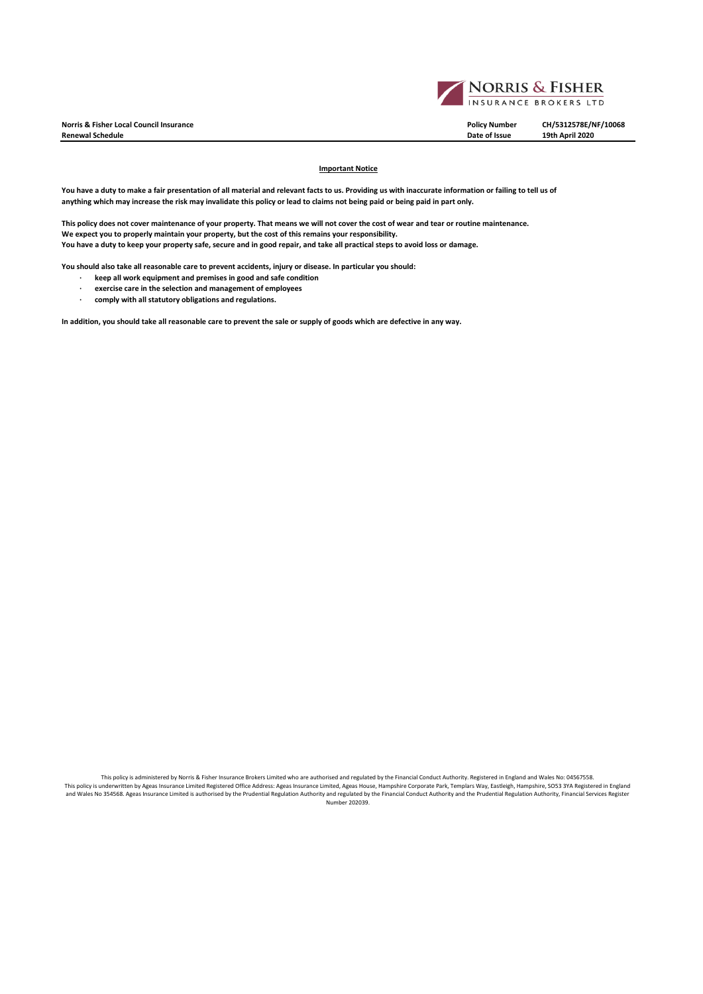**Norris & Fisher Local Council Insurance Policy Number CH/5312578E/NF/10068**  $Renewal Schedule$ 



## **Important Notice**

**You have a duty to make a fair presentation of all material and relevant facts to us. Providing us with inaccurate information or failing to tell us of anything which may increase the risk may invalidate this policy or lead to claims not being paid or being paid in part only.**

**This policy does not cover maintenance of your property. That means we will not cover the cost of wear and tear or routine maintenance. We expect you to properly maintain your property, but the cost of this remains your responsibility. You have a duty to keep your property safe, secure and in good repair, and take all practical steps to avoid loss or damage.** 

**You should also take all reasonable care to prevent accidents, injury or disease. In particular you should:**

- **· keep all work equipment and premises in good and safe condition**
- **· exercise care in the selection and management of employees**
- **· comply with all statutory obligations and regulations.**

**In addition, you should take all reasonable care to prevent the sale or supply of goods which are defective in any way.** 

This policy is administered by Norris & Fisher Insurance Brokers Limited who are authorised and regulated by the Financial Conduct Authority. Registered in England and Wales No: 04567558.<br>This policy is underwritten by Age and Wales No 354568. Ageas Insurance Limited is authorised by the Prudential Regulation Authority and regulated by the Financial Conduct Authority and the Prudential Regulation Authority, Financial Services Register<br>Number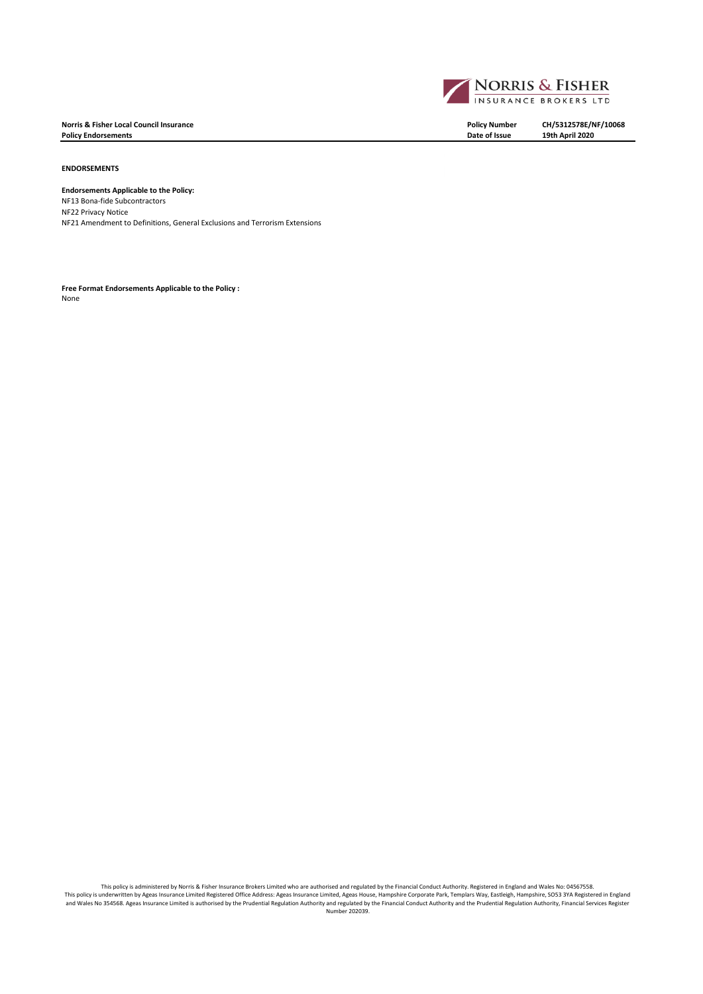**Norris & Fisher Local Council Insurance Policy Number CH/5312578E/NF/10068 Policy Endorsements** 

## **ENDORSEMENTS**

**Endorsements Applicable to the Policy:** NF13 Bona-fide Subcontractors NF22 Privacy Notice NF21 Amendment to Definitions, General Exclusions and Terrorism Extensions

**Free Format Endorsements Applicable to the Policy :** None

This policy is administered by Norris & Fisher Insurance Brokers Limited who are authorised and regulated by the Financial Conduct Authority. Registered in England and Wales No: 04567558.<br>This policy is underwritten by Age and Wales No 354568. Ageas Insurance Limited is authorised by the Prudential Regulation Authority and regulated by the Financial Conduct Authority and the Prudential Regulation Authority, Financial Services Register<br>Number

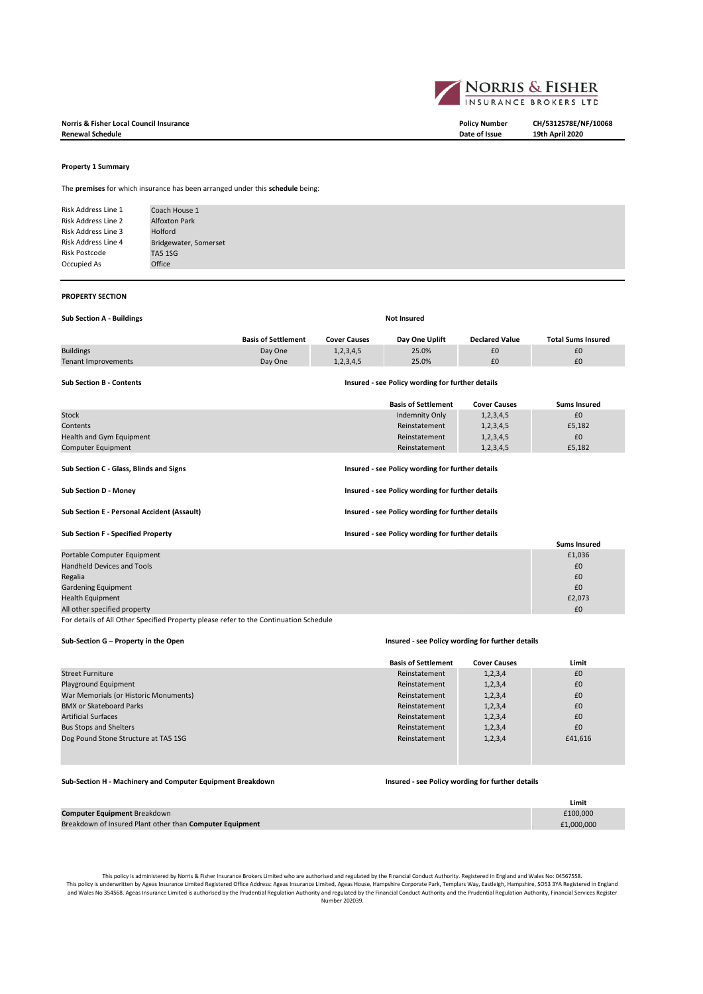



The **premises** for which insurance has been arranged under this **schedule** being:

| Risk Address Line 1        | Coach House 1         |
|----------------------------|-----------------------|
| Risk Address Line 2        | <b>Alfoxton Park</b>  |
| <b>Risk Address Line 3</b> | Holford               |
| <b>Risk Address Line 4</b> | Bridgewater, Somerset |
| <b>Risk Postcode</b>       | <b>TA5 1SG</b>        |
| Occupied As                | Office                |
|                            |                       |

#### **PROPERTY SECTION**

| <b>Sub Section A - Buildings</b> | <b>Not Insured</b>                               |                     |                            |                       |                           |  |
|----------------------------------|--------------------------------------------------|---------------------|----------------------------|-----------------------|---------------------------|--|
|                                  | <b>Basis of Settlement</b>                       | <b>Cover Causes</b> | Day One Uplift             | <b>Declared Value</b> | <b>Total Sums Insured</b> |  |
| <b>Buildings</b>                 | Day One                                          | 1, 2, 3, 4, 5       | 25.0%                      | £0                    | £0                        |  |
| Tenant Improvements              | Day One                                          | 1, 2, 3, 4, 5       | 25.0%                      | £0                    | £0                        |  |
| <b>Sub Section B - Contents</b>  | Insured - see Policy wording for further details |                     |                            |                       |                           |  |
|                                  |                                                  |                     | <b>Basis of Settlement</b> | <b>Cover Causes</b>   | <b>Sums Insured</b>       |  |
| <b>Stock</b>                     |                                                  |                     | Indemnity Only             | 1, 2, 3, 4, 5         | £0                        |  |
| Contents                         |                                                  |                     | Reinstatement              | 1, 2, 3, 4, 5         | £5,182                    |  |

Health and Gym Equipment 1,2,3,4,5  $R$  EQUI EQUIPMENT Reinstatement 1,2,3,4,5  $R$ 0.511  $R$ 0.511  $R$ 0.511  $R$ 0.511  $R$ 0.511  $R$ 0.511  $R$ 0.511  $R$ 0.511  $R$ 0.511  $R$ 0.511  $R$ 0.511  $R$ 0.511  $R$ 0.511  $R$ 0.511  $R$ 0.511  $R$ 0.511 Computer Equipment **Computer Equipment** Computer Equipment Computer Equipment Computer Equipment Computer Equipment **Sub Section C - Glass, Blinds and Signs Insured - see Policy wording for further details Sub Section D - Money Insured - see Policy wording for further details** Sub Section E - Personal Accident (Assault) **Insured - see Policy wording for further details Sub Section F - Specified Property Insured - see Policy wording for further details Sums Insured**<br>£1,036 Portable Computer Equipment Handheld Devices and Tools £0 Regalia  $\bf f$ C and  $\bf f$  and  $\bf f$  and  $\bf f$  and  $\bf f$  and  $\bf f$  and  $\bf f$  and  $\bf f$  and  $\bf f$  and  $\bf f$  and  $\bf f$  and  $\bf f$  and  $\bf f$  and  $\bf f$  and  $\bf f$  and  $\bf f$  and  $\bf f$  and  $\bf f$  and  $\bf f$  and  $\bf f$  and  $\bf f$  and  $\$ Gardening Equipment £0 Health Equipment

All other specified property and the control of the control of the control of the control of the control of the control of the control of the control of the control of the control of the control of the control of the contr

For details of All Other Specified Property please refer to the Continuation Schedule

#### **Sub-Section G – Property in the Open Insured - see Policy wording for further details**

|                                       | <b>Basis of Settlement</b> | <b>Cover Causes</b> | Limit   |
|---------------------------------------|----------------------------|---------------------|---------|
| <b>Street Furniture</b>               | Reinstatement              | 1, 2, 3, 4          | £0      |
| Playground Equipment                  | Reinstatement              | 1, 2, 3, 4          | £0      |
| War Memorials (or Historic Monuments) | Reinstatement              | 1, 2, 3, 4          | £0      |
| <b>BMX or Skateboard Parks</b>        | Reinstatement              | 1, 2, 3, 4          | £0      |
| <b>Artificial Surfaces</b>            | Reinstatement              | 1, 2, 3, 4          | £0      |
| <b>Bus Stops and Shelters</b>         | Reinstatement              | 1, 2, 3, 4          | £0      |
| Dog Pound Stone Structure at TA5 1SG  | Reinstatement              | 1, 2, 3, 4          | £41,616 |
|                                       |                            |                     |         |

## **Sub-Section H - Machinery and Computer Equipment Breakdown Insured - see Policy wording for further details**

|                                                          | Limit      |
|----------------------------------------------------------|------------|
| Computer Equipment Breakdown                             | £100.000   |
| Breakdown of Insured Plant other than Computer Equipment | £1,000,000 |

This policy is administered by Norris & Fisher Insurance Brokers Limited who are authorised and regulated by the Financial Conduct Authority. Registered in England and Wales No: 04567558. This policy is underwritten by Ageas Insurance Limited Registered Office Address: Ageas Insurance Limited, Ageas House, Hampshire Corporate Park, Templars Way, Eastleigh, Hampshire, SO53 3YA Registered in England Equal of

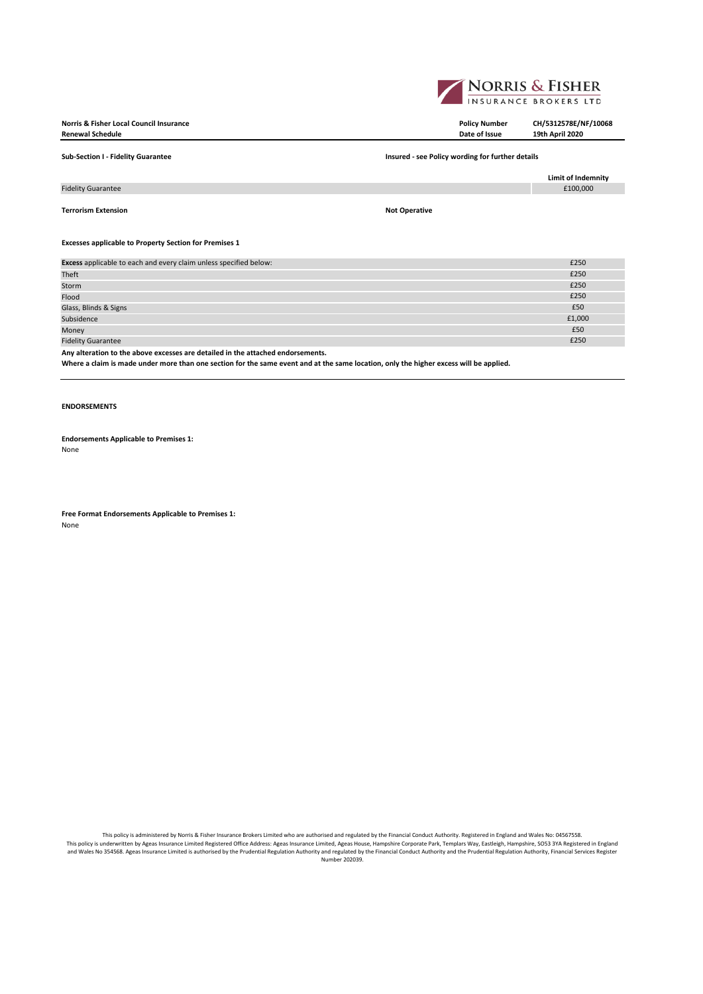

**Norris & Fisher Local Council Insurance Policy Number CH/5312578E/NF/10068**  $Renewal Schedule$ 

**Sub-Section I - Fidelity Guarantee Insured - see Policy wording for further details Limit of Indemnity** Fidelity Guarantee **Terrorism Extension Not Operative Excesses applicable to Property Section for Premises 1** Excess applicable to each and every claim unless specified below: **£250** and the state of the state of the state of the state of the state of the state of the state of the state of the state of the state of the state of th Theft  $\overline{250}$ Storm £250 Flood  $\epsilon$  250  $\epsilon$  250  $\epsilon$  250  $\epsilon$  250  $\epsilon$  250  $\epsilon$  250  $\epsilon$  250  $\epsilon$  250  $\epsilon$  250  $\epsilon$  250  $\epsilon$  250  $\epsilon$  250  $\epsilon$  250  $\epsilon$  250  $\epsilon$  250  $\epsilon$  250  $\epsilon$  250  $\epsilon$  250  $\epsilon$  250  $\epsilon$  250  $\epsilon$  250  $\epsilon$  250  $\epsilon$  250  $\epsilon$  250 Glass, Blinds & Signs **£50**<br>Subsidence **£1,000** Subsidence **£1,000** Subsidence **£1,000** Subsidence **£1,000** Subsidence **£1,000** Subsidence  $\epsilon_{1,000}$ Money  $\epsilon$  . The contract of the contract of the contract of the contract of the contract of the contract of the contract of the contract of the contract of the contract of the contract of the contract of the contract of

Fidelity Guarantee £250

**Any alteration to the above excesses are detailed in the attached endorsements.**

**Where a claim is made under more than one section for the same event and at the same location, only the higher excess will be applied.**

## **ENDORSEMENTS**

**Endorsements Applicable to Premises 1:** None

**Free Format Endorsements Applicable to Premises 1:** None

This policy is administered by Norris & Fisher Insurance Brokers Limited who are authorised and regulated by the Financial Conduct Authority. Registered in England and Wales No: 04567558. This policy is underwritten by Ageas Insurance Limited Registered Office Address: Ageas Insurance Limited, Ageas House, Hampshire Corporate Park, Templars Way, Eastleigh, Hampshire, SO53 3YA Registered in England (Incland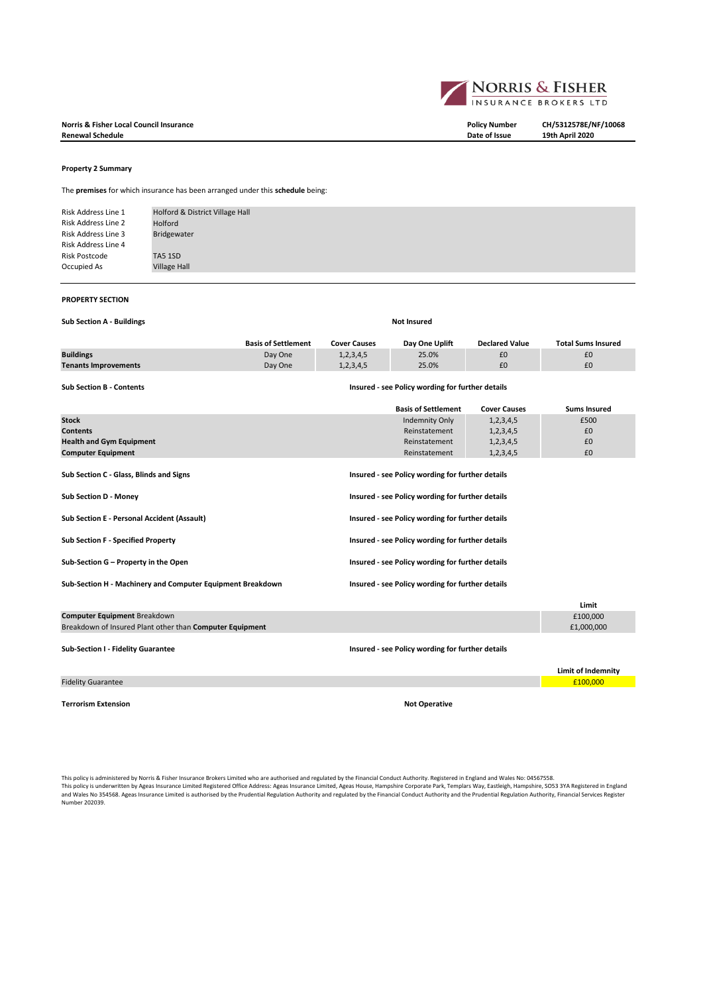**Norris & Fisher Local Council Insurance Policy Number CH/5312578E/NF/10068**  $Renewal **Scheduling**$ 

### **Property 2 Summary**

The **premises** for which insurance has been arranged under this **schedule** being:

Risk Address Line 1 Risk Address Line 2 Risk Address Line 3 Risk Address Line 4 Risk Postcode Occupied As Village Hall Holford & District Village Hall Holford Bridgewater TA5 1SD

### **PROPERTY SECTION**

**Sub Section A - Buildings Not Insured** 

|                             | <b>Basis of Settlement</b> | Cover Causes | Day One Uplift | <b>Declared Value</b> | <b>Total Sums Insured</b> |
|-----------------------------|----------------------------|--------------|----------------|-----------------------|---------------------------|
| <b>Buildings</b>            | Day One                    | 1,2,3,4,5    | 25.0%          | £0                    |                           |
| <b>Tenants Improvements</b> | Day One                    | 1,2,3,4,5    | 25.0%          |                       | £0                        |

**Sub Section B - Contents Insured - see Policy wording for further details**

|                                                            | <b>Basis of Settlement</b>                       | <b>Cover Causes</b> | <b>Sums Insured</b>       |  |
|------------------------------------------------------------|--------------------------------------------------|---------------------|---------------------------|--|
| <b>Stock</b>                                               | <b>Indemnity Only</b>                            | 1, 2, 3, 4, 5       | £500                      |  |
| <b>Contents</b>                                            | Reinstatement                                    | 1,2,3,4,5           | £0                        |  |
| <b>Health and Gym Equipment</b>                            | Reinstatement                                    | 1,2,3,4,5           | £0                        |  |
| <b>Computer Equipment</b>                                  | Reinstatement                                    | 1,2,3,4,5           | £0                        |  |
| Sub Section C - Glass, Blinds and Signs                    | Insured - see Policy wording for further details |                     |                           |  |
| Sub Section D - Money                                      | Insured - see Policy wording for further details |                     |                           |  |
| <b>Sub Section E - Personal Accident (Assault)</b>         | Insured - see Policy wording for further details |                     |                           |  |
| <b>Sub Section F - Specified Property</b>                  | Insured - see Policy wording for further details |                     |                           |  |
| Sub-Section G - Property in the Open                       | Insured - see Policy wording for further details |                     |                           |  |
| Sub-Section H - Machinery and Computer Equipment Breakdown | Insured - see Policy wording for further details |                     |                           |  |
|                                                            |                                                  |                     | Limit                     |  |
| <b>Computer Equipment Breakdown</b>                        |                                                  |                     | £100,000                  |  |
| Breakdown of Insured Plant other than Computer Equipment   |                                                  |                     | £1,000,000                |  |
| Sub-Section I - Fidelity Guarantee                         | Insured - see Policy wording for further details |                     |                           |  |
|                                                            |                                                  |                     | <b>Limit of Indemnity</b> |  |
| <b>Fidelity Guarantee</b>                                  |                                                  |                     | £100,000                  |  |

**Terrorism Extension Not Operative**

This policy is administered by Norris & Fisher Insurance Brokers Limited who are authorised and regulated by the Financial Conduct Authority. Registered in England and Wales No: 04567558.<br>This policy is underwritten by Age Number 202039.

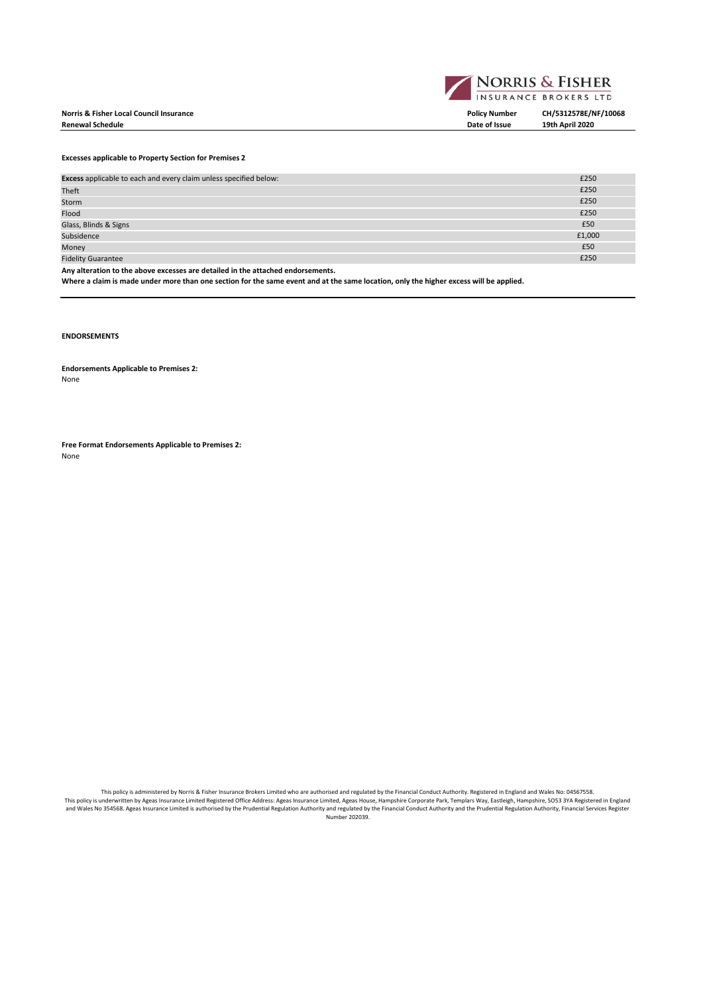## **Norris & Fisher Local Council Insurance Policy Number CH/5312578E/NF/10068**  $Renewal Schedule$



**Excesses applicable to Property Section for Premises 2**

| Excess applicable to each and every claim unless specified below:               | £250   |
|---------------------------------------------------------------------------------|--------|
| Theft                                                                           | £250   |
| Storm                                                                           | £250   |
| Flood                                                                           | £250   |
| Glass, Blinds & Signs                                                           | £50    |
| Subsidence                                                                      | £1,000 |
| Money                                                                           | £50    |
| <b>Fidelity Guarantee</b>                                                       | £250   |
| Any alteration to the above excesses are detailed in the attached endorsements. |        |

**Where a claim is made under more than one section for the same event and at the same location, only the higher excess will be applied.**

# **ENDORSEMENTS**

**Endorsements Applicable to Premises 2:** None

**Free Format Endorsements Applicable to Premises 2:** None

This policy is administered by Norris & Fisher Insurance Brokers Limited who are authorised and regulated by the Financial Conduct Authority. Registered in England and Wales No: 04567558. This policy is underwritten by Ageas Insurance Limited Registered Office Address: Ageas Insurance Limited, Ageas House, Hampshire Corporate Park, Templars Way, Eastleigh, Hampshire, SO53 3YA Registered in England<br>and Wales Number 202039.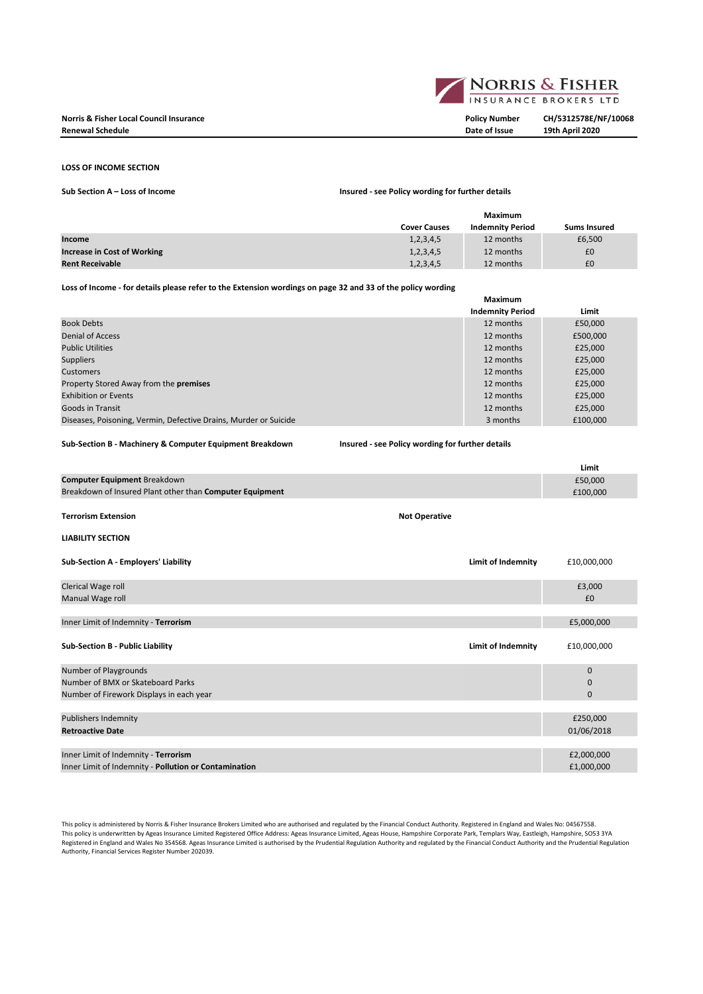

## **LOSS OF INCOME SECTION**

**Sub Section A – Loss of Income Policy wording For Fundal Policy wording For Fundal Policy wording for Fundal Policy wording Fundal Policy wording Fundal Policy wording Fundal Policy wording Fundal Policy wording Fundal Po** 

| Insured - see Policy wording for further details |  |  |  |  |  |
|--------------------------------------------------|--|--|--|--|--|
|--------------------------------------------------|--|--|--|--|--|

|                                    | Maximum             |                         |                     |
|------------------------------------|---------------------|-------------------------|---------------------|
|                                    | <b>Cover Causes</b> | <b>Indemnity Period</b> | <b>Sums Insured</b> |
| Income                             | 1,2,3,4,5           | 12 months               | £6,500              |
| <b>Increase in Cost of Working</b> | 1,2,3,4,5           | 12 months               | £0                  |
| <b>Rent Receivable</b>             | 1,2,3,4,5           | 12 months               | £0                  |

## **Loss of Income - for details please refer to the Extension wordings on page 32 and 33 of the policy wording**

|                                                                  | <b>Maximum</b>          |          |
|------------------------------------------------------------------|-------------------------|----------|
|                                                                  | <b>Indemnity Period</b> | Limit    |
| <b>Book Debts</b>                                                | 12 months               | £50,000  |
| <b>Denial of Access</b>                                          | 12 months               | £500,000 |
| <b>Public Utilities</b>                                          | 12 months               | £25,000  |
| <b>Suppliers</b>                                                 | 12 months               | £25,000  |
| Customers                                                        | 12 months               | £25,000  |
| Property Stored Away from the <b>premises</b>                    | 12 months               | £25,000  |
| <b>Exhibition or Events</b>                                      | 12 months               | £25,000  |
| <b>Goods in Transit</b>                                          | 12 months               | £25,000  |
| Diseases, Poisoning, Vermin, Defective Drains, Murder or Suicide | 3 months                | £100,000 |

## **Sub-Section B - Machinery & Computer Equipment Breakdown Insured - see Policy wording for further details**

|                                                          |                      |                           | Limit        |
|----------------------------------------------------------|----------------------|---------------------------|--------------|
| <b>Computer Equipment Breakdown</b>                      |                      |                           | £50,000      |
| Breakdown of Insured Plant other than Computer Equipment |                      |                           | £100,000     |
|                                                          |                      |                           |              |
| <b>Terrorism Extension</b>                               | <b>Not Operative</b> |                           |              |
| <b>LIABILITY SECTION</b>                                 |                      |                           |              |
| Sub-Section A - Employers' Liability                     |                      | <b>Limit of Indemnity</b> | £10,000,000  |
|                                                          |                      |                           |              |
| Clerical Wage roll                                       |                      |                           | £3,000       |
| Manual Wage roll                                         |                      |                           | £0           |
|                                                          |                      |                           |              |
| Inner Limit of Indemnity - Terrorism                     |                      |                           | £5,000,000   |
|                                                          |                      |                           |              |
| <b>Sub-Section B - Public Liability</b>                  |                      | Limit of Indemnity        | £10,000,000  |
| Number of Playgrounds                                    |                      |                           | $\Omega$     |
| Number of BMX or Skateboard Parks                        |                      |                           | $\mathbf 0$  |
| Number of Firework Displays in each year                 |                      |                           | $\mathbf{0}$ |
|                                                          |                      |                           |              |
| <b>Publishers Indemnity</b>                              |                      |                           | £250,000     |
| <b>Retroactive Date</b>                                  |                      |                           | 01/06/2018   |

Inner Limit of Indemnity - **Terrorism** £2,000,000 Inner Limit of Indemnity - **Pollution or Contamination** £1,000,000

This policy is administered by Norris & Fisher Insurance Brokers Limited who are authorised and regulated by the Financial Conduct Authority. Registered in England and Wales No: 04567558. This policy is underwritten by Ageas Insurance Limited Registered Office Address: Ageas Insurance Limited, Ageas House, Hampshire Corporate Park, Templars Way, Eastleigh, Hampshire, SO53 3YA Registered in England and Wales No 354568. Ageas Insurance Limited is authorised by the Prudential Regulation Authority and regulated by the Financial Conduct Authority and the Prudential Regulation Authority, Financial Services Register Number 202039.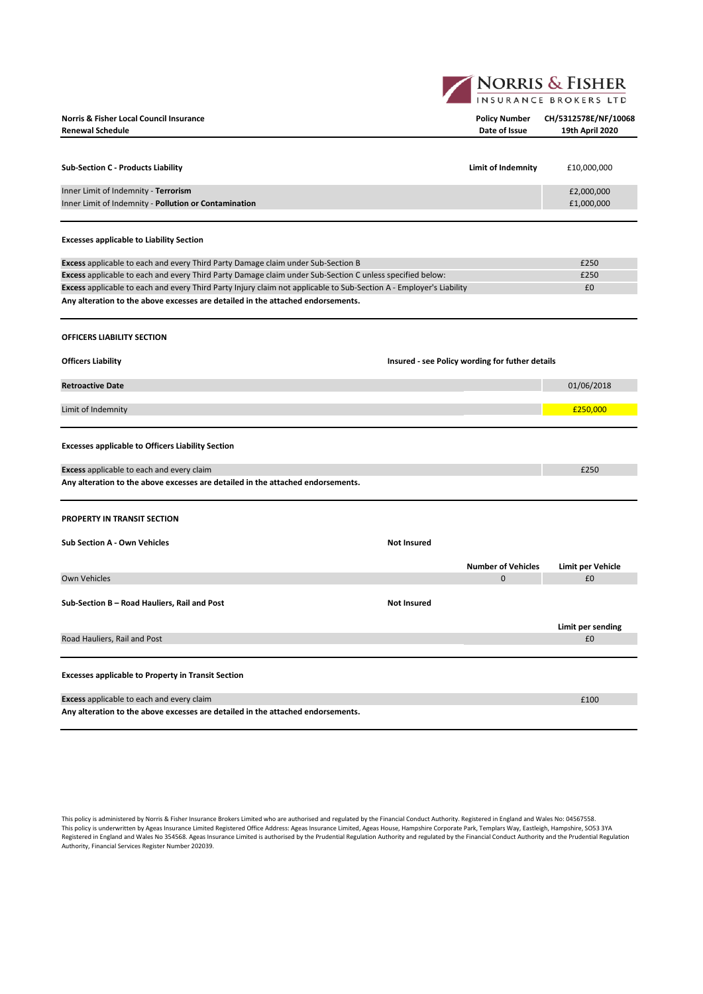**NORRIS & FISHER** 

| <b>Norris &amp; Fisher Local Council Insurance</b><br><b>Renewal Schedule</b>                                       | <b>Policy Number</b><br>Date of Issue           | CH/5312578E/NF/10068<br>19th April 2020 |
|---------------------------------------------------------------------------------------------------------------------|-------------------------------------------------|-----------------------------------------|
|                                                                                                                     |                                                 |                                         |
| <b>Sub-Section C - Products Liability</b>                                                                           | Limit of Indemnity                              | £10,000,000                             |
| Inner Limit of Indemnity - Terrorism<br>Inner Limit of Indemnity - Pollution or Contamination                       |                                                 | £2,000,000<br>£1,000,000                |
| <b>Excesses applicable to Liability Section</b>                                                                     |                                                 |                                         |
| Excess applicable to each and every Third Party Damage claim under Sub-Section B                                    |                                                 | £250                                    |
| Excess applicable to each and every Third Party Damage claim under Sub-Section C unless specified below:            |                                                 | £250                                    |
| Excess applicable to each and every Third Party Injury claim not applicable to Sub-Section A - Employer's Liability |                                                 | £0                                      |
| Any alteration to the above excesses are detailed in the attached endorsements.                                     |                                                 |                                         |
| OFFICERS LIABILITY SECTION<br><b>Officers Liability</b>                                                             | Insured - see Policy wording for futher details |                                         |
| <b>Retroactive Date</b>                                                                                             |                                                 | 01/06/2018                              |
|                                                                                                                     |                                                 |                                         |
| Limit of Indemnity                                                                                                  |                                                 | £250,000                                |
| <b>Excesses applicable to Officers Liability Section</b>                                                            |                                                 |                                         |
| Excess applicable to each and every claim                                                                           |                                                 | £250                                    |
| Any alteration to the above excesses are detailed in the attached endorsements.                                     |                                                 |                                         |
| <b>PROPERTY IN TRANSIT SECTION</b>                                                                                  |                                                 |                                         |
| <b>Sub Section A - Own Vehicles</b>                                                                                 | <b>Not Insured</b>                              |                                         |
|                                                                                                                     | <b>Number of Vehicles</b>                       | Limit per Vehicle                       |
| <b>Own Vehicles</b>                                                                                                 | $\Omega$                                        | £0                                      |
| Sub-Section B - Road Hauliers, Rail and Post                                                                        | <b>Not Insured</b>                              |                                         |
|                                                                                                                     |                                                 | Limit per sending                       |
| Road Hauliers, Rail and Post                                                                                        |                                                 | £0                                      |
| <b>Excesses applicable to Property in Transit Section</b>                                                           |                                                 |                                         |
|                                                                                                                     |                                                 |                                         |
| <b>Excess</b> applicable to each and every claim                                                                    |                                                 | £100                                    |

**Any alteration to the above excesses are detailed in the attached endorsements.**

This policy is administered by Norris & Fisher Insurance Brokers Limited who are authorised and regulated by the Financial Conduct Authority. Registered in England and Wales No: 04567558. This policy is underwritten by Ageas Insurance Limited Registered Office Address: Ageas Insurance Limited, Ageas House, Hampshire Corporate Park, Templars Way, Eastleigh, Hampshire, SO53 3YA Registered in England and Wales No 354568. Ageas Insurance Limited is authorised by the Prudential Regulation Authority and regulated by the Financial Conduct Authority and the Prudential Regulation Authority, Financial Services Register Number 202039.